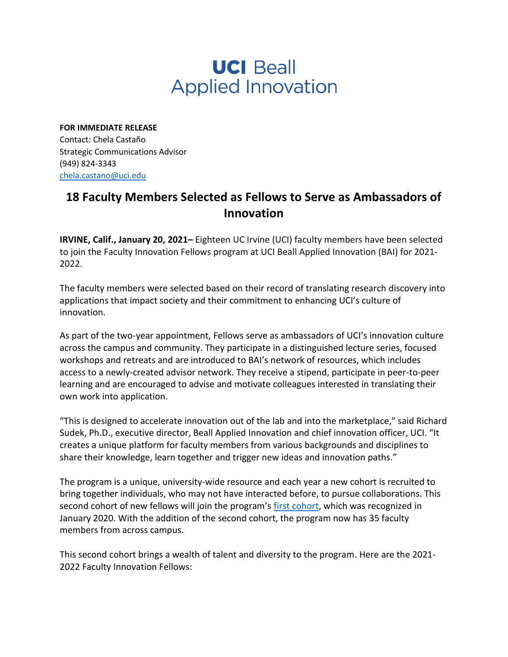## **UCI Beall Applied Innovation**

**FOR IMMEDIATE RELEASE** Contact: Chela Castaño Strategic Communications Advisor (949) 824-3343 [chela.castano@uci.edu](mailto:chela.castano@uci.edu)

## **18 Faculty Members Selected as Fellows to Serve as Ambassadors of Innovation**

**IRVINE, Calif., January 20, 2021–** Eighteen UC Irvine (UCI) faculty members have been selected to join the Faculty Innovation Fellows program at UCI Beall Applied Innovation (BAI) for 2021- 2022.

The faculty members were selected based on their record of translating research discovery into applications that impact society and their commitment to enhancing UCI's culture of innovation.

As part of the two-year appointment, Fellows serve as ambassadors of UCI's innovation culture across the campus and community. They participate in a distinguished lecture series, focused workshops and retreats and are introduced to BAI's network of resources, which includes access to a newly-created advisor network. They receive a stipend, participate in peer-to-peer learning and are encouraged to advise and motivate colleagues interested in translating their own work into application.

"This is designed to accelerate innovation out of the lab and into the marketplace," said Richard Sudek, Ph.D., executive director, Beall Applied Innovation and chief innovation officer, UCI. "It creates a unique platform for faculty members from various backgrounds and disciplines to share their knowledge, learn together and trigger new ideas and innovation paths."

The program is a unique, university-wide resource and each year a new cohort is recruited to bring together individuals, who may not have interacted before, to pursue collaborations. This second cohort of new fellows will join the program's [first cohort,](https://innovation.uci.edu/2020/02/uci-beall-applied-innovation-launches-first-fellowship-program/) which was recognized in January 2020. With the addition of the second cohort, the program now has 35 faculty members from across campus.

This second cohort brings a wealth of talent and diversity to the program. Here are the 2021- 2022 Faculty Innovation Fellows: